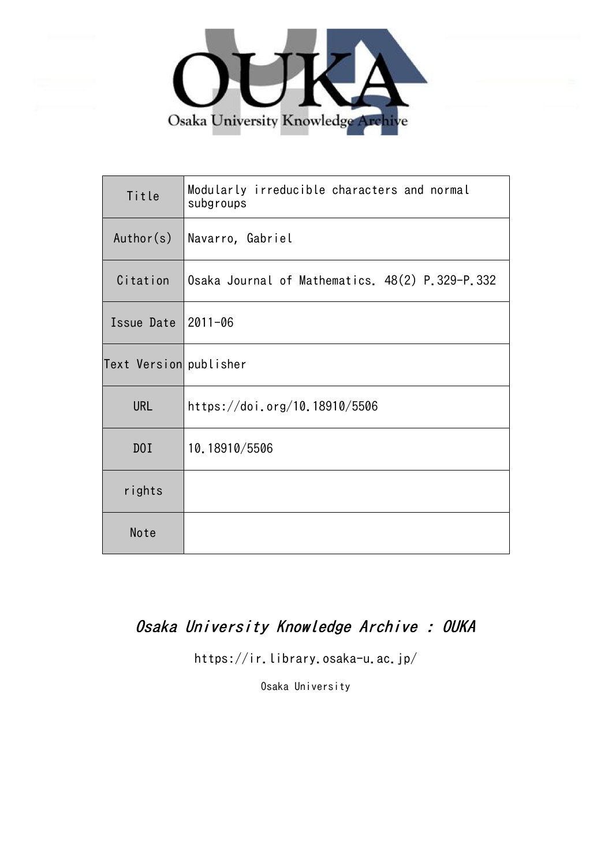

| Title                  | Modularly irreducible characters and normal<br>subgroups |
|------------------------|----------------------------------------------------------|
| Author(s)              | Navarro, Gabriel                                         |
| Citation               | Osaka Journal of Mathematics. 48(2) P.329-P.332          |
| Issue Date             | $12011 - 06$                                             |
| Text Version publisher |                                                          |
| <b>URL</b>             | https://doi.org/10.18910/5506                            |
| D0I                    | 10.18910/5506                                            |
| rights                 |                                                          |
| Note                   |                                                          |

# Osaka University Knowledge Archive : OUKA

https://ir.library.osaka-u.ac.jp/

Osaka University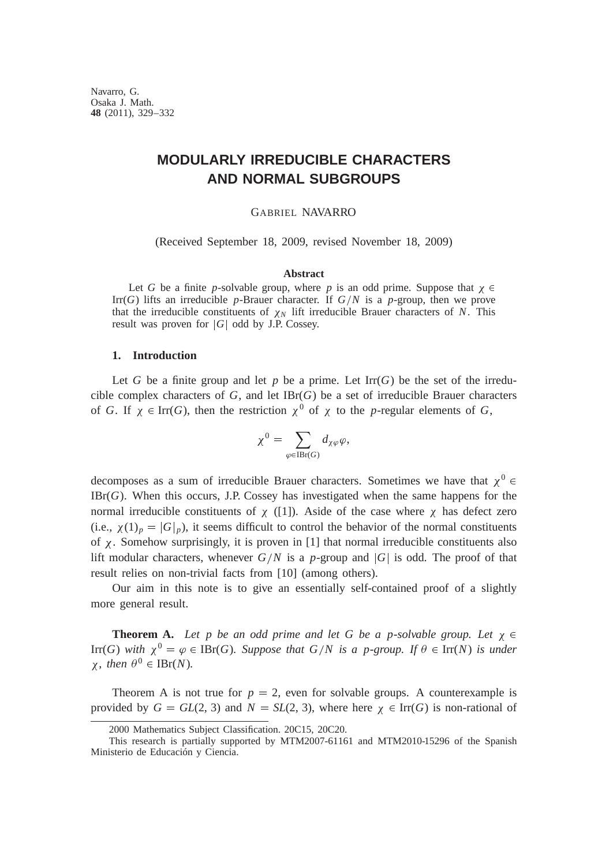Navarro, G. Osaka J. Math. **48** (2011), 329–332

## **MODULARLY IRREDUCIBLE CHARACTERS AND NORMAL SUBGROUPS**

#### GABRIEL NAVARRO

(Received September 18, 2009, revised November 18, 2009)

### **Abstract**

Let *G* be a finite *p*-solvable group, where *p* is an odd prime. Suppose that  $\chi \in$ Irr(*G*) lifts an irreducible *p*-Brauer character. If  $G/N$  is a *p*-group, then we prove that the irreducible constituents of  $\chi_N$  lift irreducible Brauer characters of *N*. This result was proven for  $|G|$  odd by J.P. Cossey.

#### **1. Introduction**

Let *G* be a finite group and let *p* be a prime. Let  $\text{Irr}(G)$  be the set of the irreducible complex characters of  $G$ , and let  $IBr(G)$  be a set of irreducible Brauer characters of *G*. If  $\chi \in \text{Irr}(G)$ , then the restriction  $\chi^0$  of  $\chi$  to the *p*-regular elements of *G*,

$$
\chi^0 = \sum_{\varphi \in \operatorname{IBr}(G)} d_{\chi\varphi}\varphi,
$$

decomposes as a sum of irreducible Brauer characters. Sometimes we have that  $\chi^0$ IBr(*G*). When this occurs, J.P. Cossey has investigated when the same happens for the normal irreducible constituents of  $\chi$  ([1]). Aside of the case where  $\chi$  has defect zero (i.e.,  $\chi(1)_p = |G|_p$ ), it seems difficult to control the behavior of the normal constituents of  $\chi$ . Somehow surprisingly, it is proven in [1] that normal irreducible constituents also lift modular characters, whenever  $G/N$  is a *p*-group and  $|G|$  is odd. The proof of that result relies on non-trivial facts from [10] (among others).

Our aim in this note is to give an essentially self-contained proof of a slightly more general result.

**Theorem A.** Let p be an odd prime and let G be a p-solvable group. Let  $\chi \in$ Irr(*G*) with  $\chi^0 = \varphi \in \text{IBr}(G)$ *. Suppose that*  $G/N$  *is a p-group. If*  $\theta \in \text{Irr}(N)$  *is under*  $\chi$ , *then*  $\theta^0 \in {\rm {IBr}}(N)$ .

Theorem A is not true for  $p = 2$ , even for solvable groups. A counterexample is provided by  $G = GL(2, 3)$  and  $N = SL(2, 3)$ , where here  $\chi \in \text{Irr}(G)$  is non-rational of

<sup>2000</sup> Mathematics Subject Classification. 20C15, 20C20.

This research is partially supported by MTM2007-61161 and MTM2010-15296 of the Spanish Ministerio de Educación y Ciencia.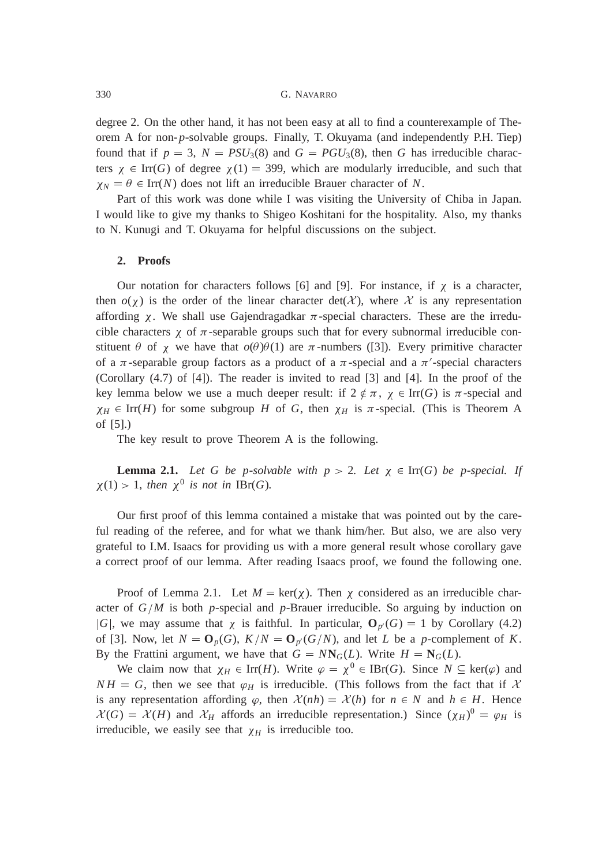degree 2. On the other hand, it has not been easy at all to find a counterexample of Theorem A for non-*p*-solvable groups. Finally, T. Okuyama (and independently P.H. Tiep) found that if  $p = 3$ ,  $N = PSU_3(8)$  and  $G = PGU_3(8)$ , then *G* has irreducible characters  $\chi \in \text{Irr}(G)$  of degree  $\chi(1) = 399$ , which are modularly irreducible, and such that  $\chi_N = \theta \in \text{Irr}(N)$  does not lift an irreducible Brauer character of *N*.

Part of this work was done while I was visiting the University of Chiba in Japan. I would like to give my thanks to Shigeo Koshitani for the hospitality. Also, my thanks to N. Kunugi and T. Okuyama for helpful discussions on the subject.

#### **2. Proofs**

Our notation for characters follows [6] and [9]. For instance, if  $\chi$  is a character, then  $o(\chi)$  is the order of the linear character det( $\chi$ ), where  $\chi$  is any representation affording  $\chi$ . We shall use Gajendragadkar  $\pi$ -special characters. These are the irreducible characters  $\chi$  of  $\pi$ -separable groups such that for every subnormal irreducible constituent  $\theta$  of  $\chi$  we have that  $o(\theta)\theta(1)$  are  $\pi$ -numbers ([3]). Every primitive character of a  $\pi$ -separable group factors as a product of a  $\pi$ -special and a  $\pi'$ -special characters (Corollary (4.7) of [4]). The reader is invited to read [3] and [4]. In the proof of the key lemma below we use a much deeper result: if  $2 \notin \pi$ ,  $\chi \in \text{Irr}(G)$  is  $\pi$ -special and  $\chi_H \in \text{Irr}(H)$  for some subgroup *H* of *G*, then  $\chi_H$  is  $\pi$ -special. (This is Theorem A of [5].)

The key result to prove Theorem A is the following.

**Lemma 2.1.** Let G be p-solvable with  $p > 2$ . Let  $\chi \in \text{Irr}(G)$  be p-special. If  $\chi(1) > 1$ , *then*  $\chi^0$  *is not in* IBr(*G*).

Our first proof of this lemma contained a mistake that was pointed out by the careful reading of the referee, and for what we thank him/her. But also, we are also very grateful to I.M. Isaacs for providing us with a more general result whose corollary gave a correct proof of our lemma. After reading Isaacs proof, we found the following one.

Proof of Lemma 2.1. Let  $M = \text{ker}(\chi)$ . Then  $\chi$  considered as an irreducible character of  $G/M$  is both *p*-special and *p*-Brauer irreducible. So arguing by induction on *|G|*, we may assume that  $\chi$  is faithful. In particular,  $\mathbf{O}_p(G) = 1$  by Corollary (4.2) of [3]. Now, let  $N = \mathbf{O}_p(G)$ ,  $K/N = \mathbf{O}_{p'}(G/N)$ , and let *L* be a *p*-complement of *K*. By the Frattini argument, we have that  $G = N N_G(L)$ . Write  $H = N_G(L)$ .

We claim now that  $\chi_H \in \text{Irr}(H)$ . Write  $\varphi = \chi^0 \in \text{IBr}(G)$ . Since  $N \subseteq \text{ker}(\varphi)$  and  $NH = G$ , then we see that  $\varphi_H$  is irreducible. (This follows from the fact that if X is any representation affording  $\varphi$ , then  $\mathcal{X}(nh) = \mathcal{X}(h)$  for  $n \in \mathbb{N}$  and  $h \in H$ . Hence  $\mathcal{X}(G) = \mathcal{X}(H)$  and  $\mathcal{X}_H$  affords an irreducible representation.) Since  $(\chi_H)^0 = \varphi_H$  is irreducible, we easily see that  $\chi_H$  is irreducible too.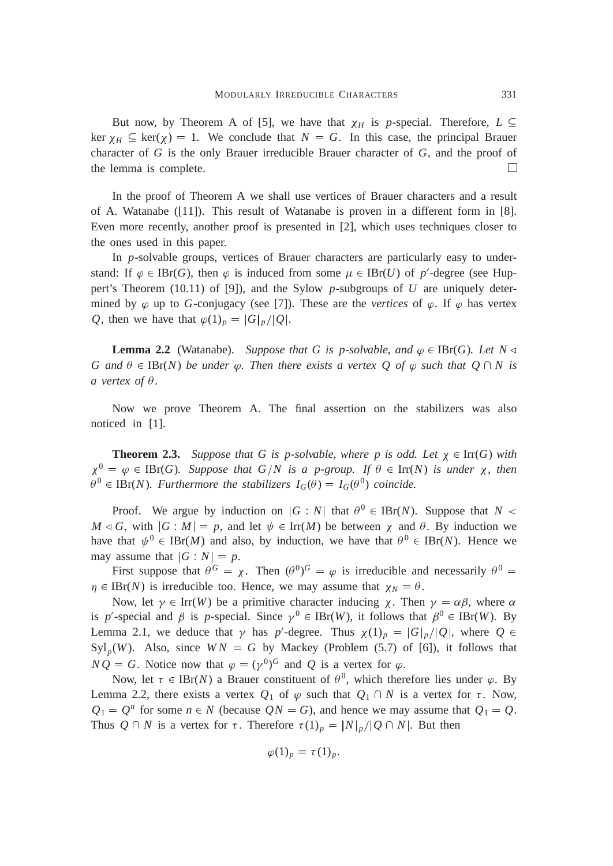But now, by Theorem A of [5], we have that  $\chi_H$  is *p*-special. Therefore,  $L \subseteq$ ker  $\chi_H \subseteq \text{ker}(\chi) = 1$ . We conclude that  $N = G$ . In this case, the principal Brauer character of *G* is the only Brauer irreducible Brauer character of *G*, and the proof of the lemma is complete.  $\Box$ 

In the proof of Theorem A we shall use vertices of Brauer characters and a result of A. Watanabe ([11]). This result of Watanabe is proven in a different form in [8]. Even more recently, another proof is presented in [2], which uses techniques closer to the ones used in this paper.

In *p*-solvable groups, vertices of Brauer characters are particularly easy to understand: If  $\varphi \in \text{IBr}(G)$ , then  $\varphi$  is induced from some  $\mu \in \text{IBr}(U)$  of  $p'$ -degree (see Huppert's Theorem (10.11) of [9]), and the Sylow *p*-subgroups of *U* are uniquely determined by  $\varphi$  up to *G*-conjugacy (see [7]). These are the *vertices* of  $\varphi$ . If  $\varphi$  has vertex *Q*, then we have that  $\varphi(1)_p = |G|_p / |Q|$ .

**Lemma 2.2** (Watanabe). *Suppose that* G is p-solvable, and  $\varphi \in \text{IBr}(G)$ . Let  $N \triangleleft$ *G* and  $\theta \in \text{IBr}(N)$  *be under*  $\varphi$ *. Then there exists a vertex Q of*  $\varphi$  *such that Q*  $\cap$  *N is a* vertex of  $\theta$ .

Now we prove Theorem A. The final assertion on the stabilizers was also noticed in [1].

**Theorem 2.3.** Suppose that G is p-solvable, where p is odd. Let  $\chi \in \text{Irr}(G)$  with  $\chi^0 = \varphi \in \text{IBr}(G)$ *. Suppose that*  $G/N$  *is a p-group. If*  $\theta \in \text{Irr}(N)$  *is under*  $\chi$ *, then*  $\theta^0 \in \text{IBr}(N)$ *. Furthermore the stabilizers*  $I_G(\theta) = I_G(\theta^0)$  *coincide.* 

Proof. We argue by induction on  $|G : N|$  that  $\theta^0 \in {\rm {IBr}}(N)$ . Suppose that  $N <$  $M \triangleleft G$ , with  $|G : M| = p$ , and let  $\psi \in \text{Irr}(M)$  be between  $\chi$  and  $\theta$ . By induction we have that  $\psi^0 \in {\rm {IBr}}(M)$  and also, by induction, we have that  $\theta^0 \in {\rm {IBr}}(N)$ . Hence we may assume that  $|G \cdot N| = p$ .

First suppose that  $\theta^G = \chi$ . Then  $(\theta^0)^G = \varphi$  is irreducible and necessarily  $\theta^0 =$  $\eta \in \text{IBr}(N)$  is irreducible too. Hence, we may assume that  $\chi_N = \theta$ .

Now, let  $\gamma \in \text{Irr}(W)$  be a primitive character inducing  $\chi$ . Then  $\gamma = \alpha \beta$ , where  $\alpha$ is p'-special and  $\beta$  is p-special. Since  $\gamma^0 \in {\mathrm {IBr}}(W)$ , it follows that  $\beta^0 \in {\mathrm {IBr}}(W)$ . By Lemma 2.1, we deduce that  $\gamma$  has  $p'$ -degree. Thus  $\chi(1)_p = |G|_p / |Q|$ , where  $Q \in$  $Syl_p(W)$ . Also, since  $WN = G$  by Mackey (Problem (5.7) of [6]), it follows that  $NQ = G$ . Notice now that  $\varphi = (\gamma^0)^G$  and Q is a vertex for  $\varphi$ .

Now, let  $\tau \in \text{IBr}(N)$  a Brauer constituent of  $\theta^0$ , which therefore lies under  $\varphi$ . By Lemma 2.2, there exists a vertex  $Q_1$  of  $\varphi$  such that  $Q_1 \cap N$  is a vertex for  $\tau$ . Now,  $Q_1 = Q^n$  for some  $n \in N$  (because  $QN = G$ ), and hence we may assume that  $Q_1 = Q$ . Thus  $Q \cap N$  is a vertex for  $\tau$ . Therefore  $\tau(1)_p = |N|_p / |Q \cap N|$ . But then

$$
\varphi(1)_p = \tau(1)_p.
$$